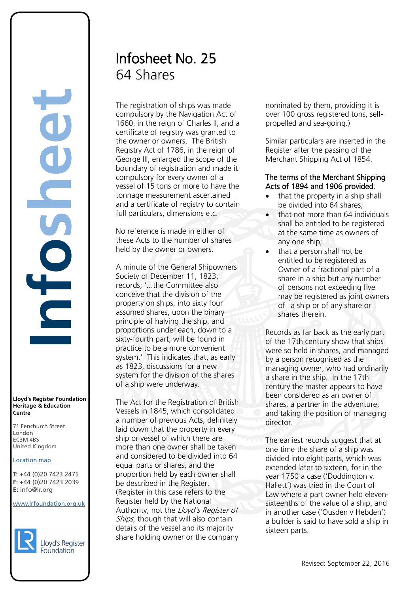# **Infosheet** rd's Register Foundat<br>
itage & Education<br>
tre<br>
Eenchurch Street<br>
don<br>
M 4BS<br>
ted Kingdom<br>
ation map<br>
44 (0)20 7423 2475<br>
44 (0)20 7423 2039<br>
mfo@lr.org

### **Lloyd's Register Foundation Heritage & Education Centre**

71 Fenchurch Street 7 Thematen Server<br>London EC3M 4BS United Kingdom

# Location map

T: +44 (0)20 7423 2475 **F:** +44 (0)20 7423 2039 Fax: +44 (0)20 7423 2039 **E:** info@lr.org  $E \rightarrow 0/20$   $1 + 23$  2033

# www.lrfoundation.org.uk



# Infosheet No. 25 64 Shares

The registration of ships was made compulsory by the Navigation Act of 1660, in the reign of Charles II, and a certificate of registry was granted to the owner or owners. The British Registry Act of 1786, in the reign of George III, enlarged the scope of the boundary of registration and made it compulsory for every owner of a vessel of 15 tons or more to have the tonnage measurement ascertained and a certificate of registry to contain full particulars, dimensions etc.

No reference is made in either of these Acts to the number of shares held by the owner or owners.

A minute of the General Shipowners Society of December 11, 1823, records; '...the Committee also conceive that the division of the property on ships, into sixty four assumed shares, upon the binary principle of halving the ship, and proportions under each, down to a sixty-fourth part, will be found in practice to be a more convenient system.' This indicates that, as early as 1823, discussions for a new system for the division of the shares of a ship were underway.

The Act for the Registration of British Vessels in 1845, which consolidated a number of previous Acts, definitely laid down that the property in every ship or vessel of which there are more than one owner shall be taken and considered to be divided into 64 equal parts or shares, and the proportion held by each owner shall be described in the Register. (Register in this case refers to the Register held by the National Authority, not the Lloyd's Register of Ships, though that will also contain details of the vessel and its majority share holding owner or the company

nominated by them, providing it is over 100 gross registered tons, selfpropelled and sea-going.)

Similar particulars are inserted in the Register after the passing of the Merchant Shipping Act of 1854.

# The terms of the Merchant Shipping Acts of 1894 and 1906 provided:

- that the property in a ship shall be divided into 64 shares;
- that not more than 64 individuals shall be entitled to be registered at the same time as owners of any one ship;
- that a person shall not be entitled to be registered as Owner of a fractional part of a share in a ship but any number of persons not exceeding five may be registered as joint owners of a ship or of any share or shares therein.

Records as far back as the early part of the 17th century show that ships were so held in shares, and managed by a person recognised as the managing owner, who had ordinarily a share in the ship. In the 17th century the master appears to have been considered as an owner of shares, a partner in the adventure, and taking the position of managing director.

The earliest records suggest that at one time the share of a ship was divided into eight parts, which was extended later to sixteen, for in the year 1750 a case ('Doddington v. Hallett') was tried in the Court of Law where a part owner held elevensixteenths of the value of a ship, and in another case ('Ousden v Hebden') a builder is said to have sold a ship in sixteen parts.